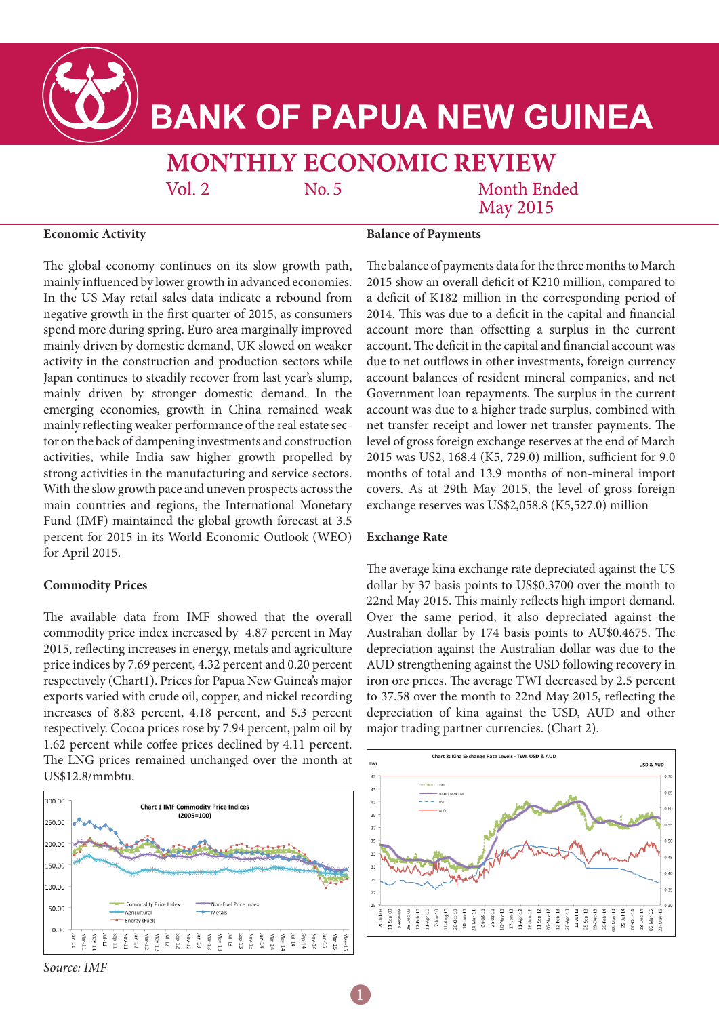

# **BANK OF PAPUA NEW GUINEA**

# **MONTHLY ECONOMIC REVIEW**

 $Vol. 2$ 

No. 5

**Month Ended May 2015** 

### **Economic Activity**

**Balance of Payments**

The global economy continues on its slow growth path, mainly influenced by lower growth in advanced economies. In the US May retail sales data indicate a rebound from negative growth in the first quarter of 2015, as consumers spend more during spring. Euro area marginally improved mainly driven by domestic demand, UK slowed on weaker activity in the construction and production sectors while Japan continues to steadily recover from last year's slump, mainly driven by stronger domestic demand. In the emerging economies, growth in China remained weak mainly reflecting weaker performance of the real estate sector on the back of dampening investments and construction activities, while India saw higher growth propelled by strong activities in the manufacturing and service sectors. With the slow growth pace and uneven prospects across the main countries and regions, the International Monetary Fund (IMF) maintained the global growth forecast at 3.5 percent for 2015 in its World Economic Outlook (WEO) for April 2015.

# **Commodity Prices**

The available data from IMF showed that the overall commodity price index increased by 4.87 percent in May 2015, reflecting increases in energy, metals and agriculture price indices by 7.69 percent, 4.32 percent and 0.20 percent respectively (Chart1). Prices for Papua New Guinea's major exports varied with crude oil, copper, and nickel recording increases of 8.83 percent, 4.18 percent, and 5.3 percent respectively. Cocoa prices rose by 7.94 percent, palm oil by 1.62 percent while coffee prices declined by 4.11 percent. The LNG prices remained unchanged over the month at US\$12.8/mmbtu.



*Source: IMF* 

The balance of payments data for the three months to March 2015 show an overall deficit of K210 million, compared to a deficit of K182 million in the corresponding period of 2014. This was due to a deficit in the capital and financial account more than offsetting a surplus in the current account. The deficit in the capital and financial account was due to net outflows in other investments, foreign currency account balances of resident mineral companies, and net Government loan repayments. The surplus in the current account was due to a higher trade surplus, combined with net transfer receipt and lower net transfer payments. The level of gross foreign exchange reserves at the end of March 2015 was US2, 168.4 (K5, 729.0) million, sufficient for 9.0 months of total and 13.9 months of non-mineral import covers. As at 29th May 2015, the level of gross foreign exchange reserves was US\$2,058.8 (K5,527.0) million

## **Exchange Rate**

The average kina exchange rate depreciated against the US dollar by 37 basis points to US\$0.3700 over the month to 22nd May 2015. This mainly reflects high import demand. Over the same period, it also depreciated against the Australian dollar by 174 basis points to AU\$0.4675. The depreciation against the Australian dollar was due to the AUD strengthening against the USD following recovery in iron ore prices. The average TWI decreased by 2.5 percent to 37.58 over the month to 22nd May 2015, reflecting the depreciation of kina against the USD, AUD and other major trading partner currencies. (Chart 2).

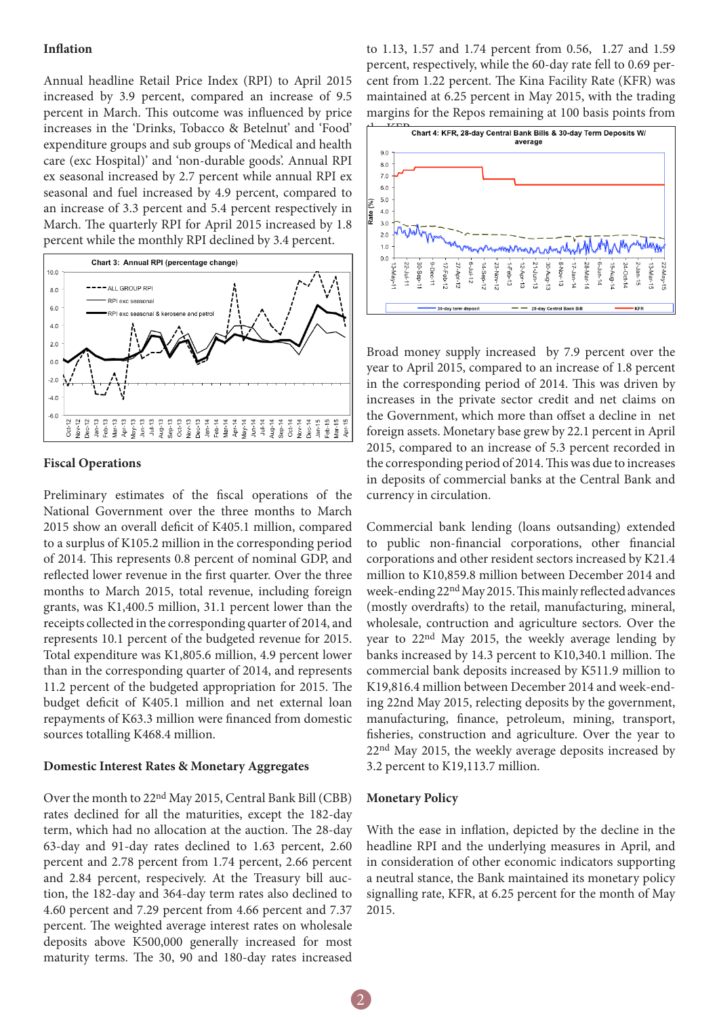#### **Inflation**

Annual headline Retail Price Index (RPI) to April 2015 increased by 3.9 percent, compared an increase of 9.5 percent in March. This outcome was influenced by price increases in the 'Drinks, Tobacco & Betelnut' and 'Food' expenditure groups and sub groups of 'Medical and health care (exc Hospital)' and 'non-durable goods'. Annual RPI ex seasonal increased by 2.7 percent while annual RPI ex seasonal and fuel increased by 4.9 percent, compared to an increase of 3.3 percent and 5.4 percent respectively in March. The quarterly RPI for April 2015 increased by 1.8 percent while the monthly RPI declined by 3.4 percent.



#### **Fiscal Operations**

Preliminary estimates of the fiscal operations of the National Government over the three months to March 2015 show an overall deficit of K405.1 million, compared to a surplus of K105.2 million in the corresponding period of 2014. This represents 0.8 percent of nominal GDP, and reflected lower revenue in the first quarter. Over the three months to March 2015, total revenue, including foreign grants, was K1,400.5 million, 31.1 percent lower than the receipts collected in the corresponding quarter of 2014, and represents 10.1 percent of the budgeted revenue for 2015. Total expenditure was K1,805.6 million, 4.9 percent lower than in the corresponding quarter of 2014, and represents 11.2 percent of the budgeted appropriation for 2015. The budget deficit of K405.1 million and net external loan repayments of K63.3 million were financed from domestic sources totalling K468.4 million.

#### **Domestic Interest Rates & Monetary Aggregates**

Over the month to 22nd May 2015, Central Bank Bill (CBB) rates declined for all the maturities, except the 182-day term, which had no allocation at the auction. The 28-day 63-day and 91-day rates declined to 1.63 percent, 2.60 percent and 2.78 percent from 1.74 percent, 2.66 percent and 2.84 percent, respecively. At the Treasury bill auction, the 182-day and 364-day term rates also declined to 4.60 percent and 7.29 percent from 4.66 percent and 7.37 percent. The weighted average interest rates on wholesale deposits above K500,000 generally increased for most maturity terms. The 30, 90 and 180-day rates increased

to 1.13, 1.57 and 1.74 percent from 0.56, 1.27 and 1.59 percent, respectively, while the 60-day rate fell to 0.69 percent from 1.22 percent. The Kina Facility Rate (KFR) was maintained at 6.25 percent in May 2015, with the trading margins for the Repos remaining at 100 basis points from



Broad money supply increased by 7.9 percent over the year to April 2015, compared to an increase of 1.8 percent in the corresponding period of 2014. This was driven by increases in the private sector credit and net claims on the Government, which more than offset a decline in net foreign assets. Monetary base grew by 22.1 percent in April 2015, compared to an increase of 5.3 percent recorded in the corresponding period of 2014. This was due to increases in deposits of commercial banks at the Central Bank and currency in circulation.

Commercial bank lending (loans outsanding) extended to public non-financial corporations, other financial corporations and other resident sectors increased by K21.4 million to K10,859.8 million between December 2014 and week-ending 22nd May 2015. This mainly reflected advances (mostly overdrafts) to the retail, manufacturing, mineral, wholesale, contruction and agriculture sectors. Over the year to 22nd May 2015, the weekly average lending by banks increased by 14.3 percent to K10,340.1 million. The commercial bank deposits increased by K511.9 million to K19,816.4 million between December 2014 and week-ending 22nd May 2015, relecting deposits by the government, manufacturing, finance, petroleum, mining, transport, fisheries, construction and agriculture. Over the year to 22nd May 2015, the weekly average deposits increased by 3.2 percent to K19,113.7 million.

# **Monetary Policy**

With the ease in inflation, depicted by the decline in the headline RPI and the underlying measures in April, and in consideration of other economic indicators supporting a neutral stance, the Bank maintained its monetary policy signalling rate, KFR, at 6.25 percent for the month of May 2015.